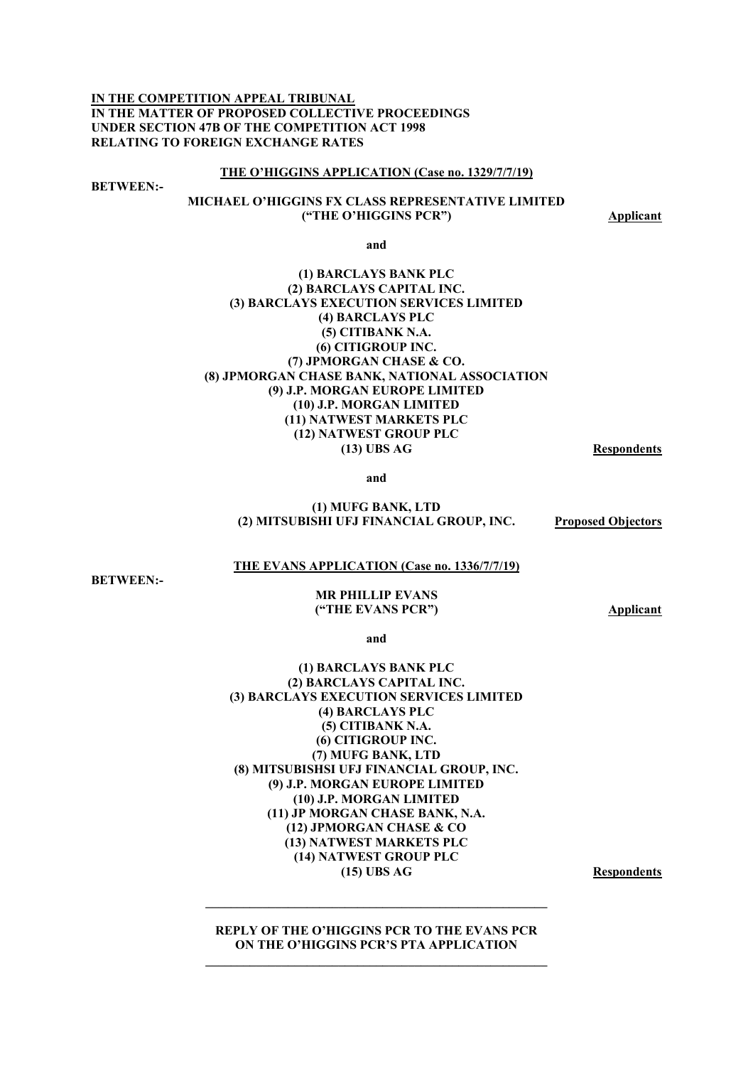**IN THE COMPETITION APPEAL TRIBUNAL IN THE MATTER OF PROPOSED COLLECTIVE PROCEEDINGS UNDER SECTION 47B OF THE COMPETITION ACT 1998 RELATING TO FOREIGN EXCHANGE RATES** 

#### **THE O'HIGGINS APPLICATION (Case no. 1329/7/7/19)**

**BETWEEN:-** 

## **MICHAEL O'HIGGINS FX CLASS REPRESENTATIVE LIMITED ("THE O'HIGGINS PCR") Applicant**

**and** 

## **(1) BARCLAYS BANK PLC (2) BARCLAYS CAPITAL INC. (3) BARCLAYS EXECUTION SERVICES LIMITED (4) BARCLAYS PLC (5) CITIBANK N.A. (6) CITIGROUP INC. (7) JPMORGAN CHASE & CO. (8) JPMORGAN CHASE BANK, NATIONAL ASSOCIATION (9) J.P. MORGAN EUROPE LIMITED (10) J.P. MORGAN LIMITED (11) NATWEST MARKETS PLC (12) NATWEST GROUP PLC (13) UBS AG Respondents**

**and** 

#### **(1) MUFG BANK, LTD (2) MITSUBISHI UFJ FINANCIAL GROUP, INC. Proposed Objectors**

### **THE EVANS APPLICATION (Case no. 1336/7/7/19)**

**BETWEEN:-** 

#### **MR PHILLIP EVANS ("THE EVANS PCR") Applicant**

**and** 

### **(1) BARCLAYS BANK PLC (2) BARCLAYS CAPITAL INC. (3) BARCLAYS EXECUTION SERVICES LIMITED (4) BARCLAYS PLC (5) CITIBANK N.A. (6) CITIGROUP INC. (7) MUFG BANK, LTD (8) MITSUBISHSI UFJ FINANCIAL GROUP, INC. (9) J.P. MORGAN EUROPE LIMITED (10) J.P. MORGAN LIMITED (11) JP MORGAN CHASE BANK, N.A. (12) JPMORGAN CHASE & CO (13) NATWEST MARKETS PLC (14) NATWEST GROUP PLC (15) UBS AG Respondents**

**REPLY OF THE O'HIGGINS PCR TO THE EVANS PCR ON THE O'HIGGINS PCR'S PTA APPLICATION**   $\mathcal{L} = \{ \mathcal{L} \mathcal{L} \mathcal{L} \mathcal{L} \mathcal{L} \mathcal{L} \mathcal{L} \mathcal{L} \mathcal{L} \mathcal{L} \mathcal{L} \mathcal{L} \mathcal{L} \mathcal{L} \mathcal{L} \mathcal{L} \mathcal{L} \mathcal{L} \mathcal{L} \mathcal{L} \mathcal{L} \mathcal{L} \mathcal{L} \mathcal{L} \mathcal{L} \mathcal{L} \mathcal{L} \mathcal{L} \mathcal{L} \mathcal{L} \mathcal{L} \mathcal{L} \mathcal{L} \mathcal{L} \mathcal{L} \$ 

**\_\_\_\_\_\_\_\_\_\_\_\_\_\_\_\_\_\_\_\_\_\_\_\_\_\_\_\_\_\_\_\_\_\_\_\_\_\_\_\_\_\_\_\_\_\_\_\_\_\_\_\_\_\_**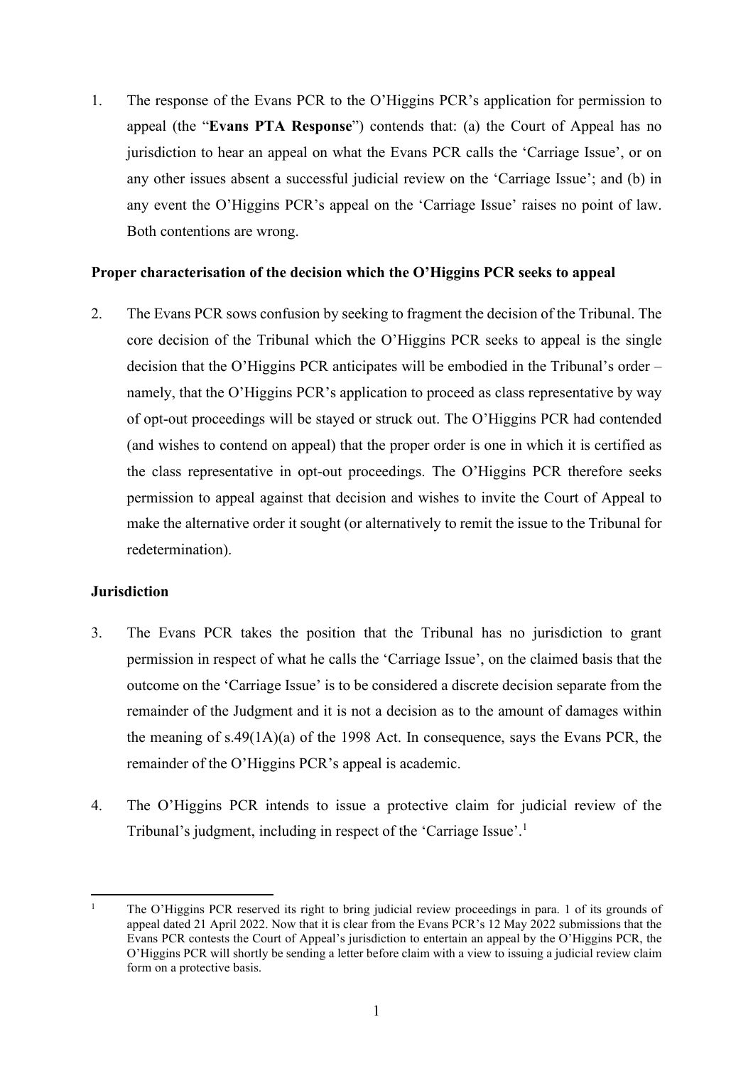1. The response of the Evans PCR to the O'Higgins PCR's application for permission to appeal (the "**Evans PTA Response**") contends that: (a) the Court of Appeal has no jurisdiction to hear an appeal on what the Evans PCR calls the 'Carriage Issue', or on any other issues absent a successful judicial review on the 'Carriage Issue'; and (b) in any event the O'Higgins PCR's appeal on the 'Carriage Issue' raises no point of law. Both contentions are wrong.

## **Proper characterisation of the decision which the O'Higgins PCR seeks to appeal**

2. The Evans PCR sows confusion by seeking to fragment the decision of the Tribunal. The core decision of the Tribunal which the O'Higgins PCR seeks to appeal is the single decision that the O'Higgins PCR anticipates will be embodied in the Tribunal's order – namely, that the O'Higgins PCR's application to proceed as class representative by way of opt-out proceedings will be stayed or struck out. The O'Higgins PCR had contended (and wishes to contend on appeal) that the proper order is one in which it is certified as the class representative in opt-out proceedings. The O'Higgins PCR therefore seeks permission to appeal against that decision and wishes to invite the Court of Appeal to make the alternative order it sought (or alternatively to remit the issue to the Tribunal for redetermination).

## **Jurisdiction**

- 3. The Evans PCR takes the position that the Tribunal has no jurisdiction to grant permission in respect of what he calls the 'Carriage Issue', on the claimed basis that the outcome on the 'Carriage Issue' is to be considered a discrete decision separate from the remainder of the Judgment and it is not a decision as to the amount of damages within the meaning of s.49(1A)(a) of the 1998 Act. In consequence, says the Evans PCR, the remainder of the O'Higgins PCR's appeal is academic.
- 4. The O'Higgins PCR intends to issue a protective claim for judicial review of the Tribunal's judgment, including in respect of the 'Carriage Issue'.<sup>1</sup>

<sup>1</sup> The O'Higgins PCR reserved its right to bring judicial review proceedings in para. 1 of its grounds of appeal dated 21 April 2022. Now that it is clear from the Evans PCR's 12 May 2022 submissions that the Evans PCR contests the Court of Appeal's jurisdiction to entertain an appeal by the O'Higgins PCR, the O'Higgins PCR will shortly be sending a letter before claim with a view to issuing a judicial review claim form on a protective basis.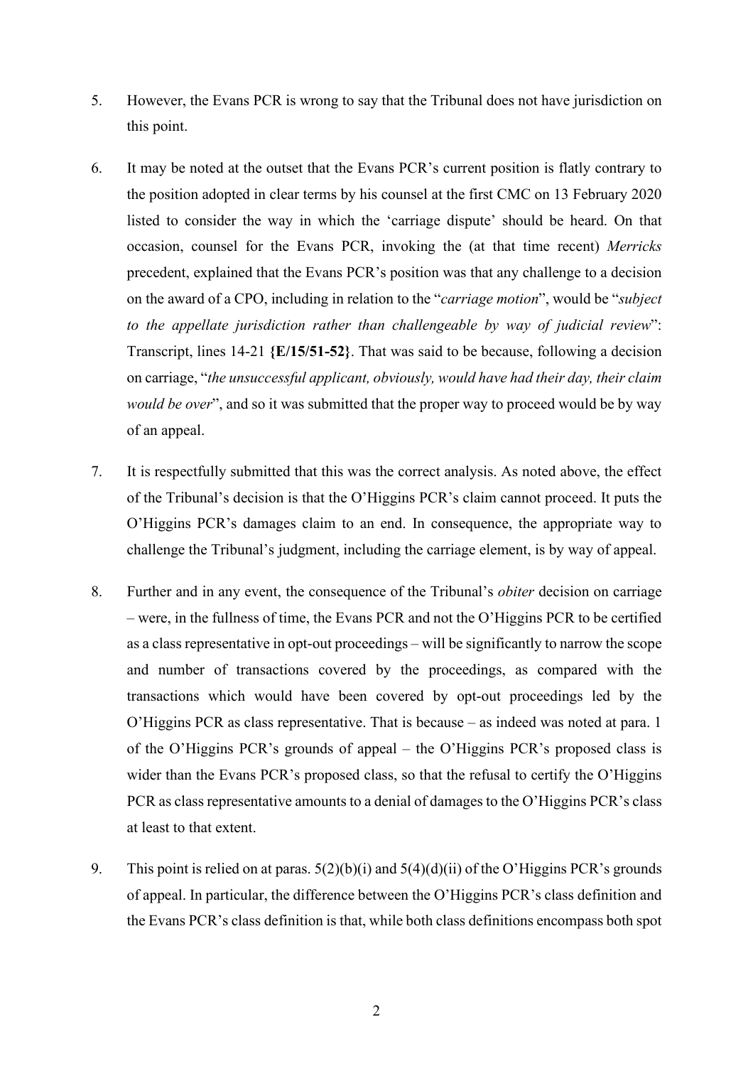- 5. However, the Evans PCR is wrong to say that the Tribunal does not have jurisdiction on this point.
- 6. It may be noted at the outset that the Evans PCR's current position is flatly contrary to the position adopted in clear terms by his counsel at the first CMC on 13 February 2020 listed to consider the way in which the 'carriage dispute' should be heard. On that occasion, counsel for the Evans PCR, invoking the (at that time recent) *Merricks*  precedent, explained that the Evans PCR's position was that any challenge to a decision on the award of a CPO, including in relation to the "*carriage motion*", would be "*subject to the appellate jurisdiction rather than challengeable by way of judicial review*": Transcript, lines 14-21 **{E/15/51-52}**. That was said to be because, following a decision on carriage, "*the unsuccessful applicant, obviously, would have had their day, their claim would be over*", and so it was submitted that the proper way to proceed would be by way of an appeal.
- 7. It is respectfully submitted that this was the correct analysis. As noted above, the effect of the Tribunal's decision is that the O'Higgins PCR's claim cannot proceed. It puts the O'Higgins PCR's damages claim to an end. In consequence, the appropriate way to challenge the Tribunal's judgment, including the carriage element, is by way of appeal.
- 8. Further and in any event, the consequence of the Tribunal's *obiter* decision on carriage – were, in the fullness of time, the Evans PCR and not the O'Higgins PCR to be certified as a class representative in opt-out proceedings – will be significantly to narrow the scope and number of transactions covered by the proceedings, as compared with the transactions which would have been covered by opt-out proceedings led by the O'Higgins PCR as class representative. That is because – as indeed was noted at para. 1 of the O'Higgins PCR's grounds of appeal – the O'Higgins PCR's proposed class is wider than the Evans PCR's proposed class, so that the refusal to certify the O'Higgins PCR as class representative amounts to a denial of damages to the O'Higgins PCR's class at least to that extent.
- 9. This point is relied on at paras.  $5(2)(b)(i)$  and  $5(4)(d)(ii)$  of the O'Higgins PCR's grounds of appeal. In particular, the difference between the O'Higgins PCR's class definition and the Evans PCR's class definition is that, while both class definitions encompass both spot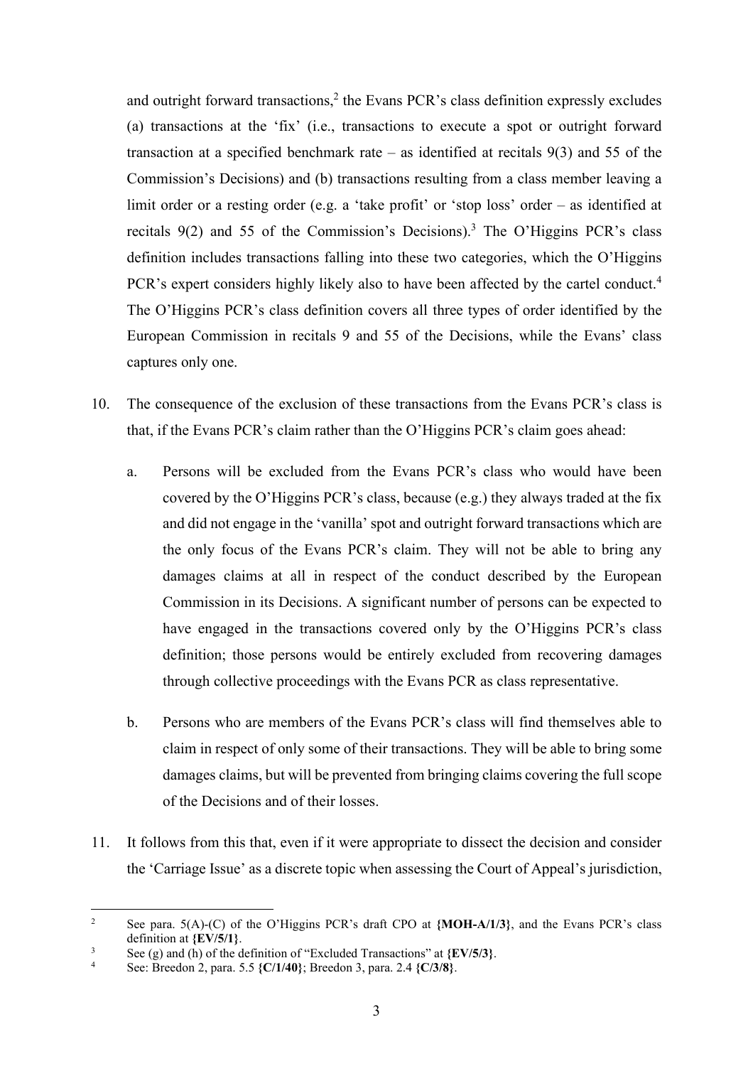and outright forward transactions, $2$  the Evans PCR's class definition expressly excludes (a) transactions at the 'fix' (i.e., transactions to execute a spot or outright forward transaction at a specified benchmark rate – as identified at recitals  $9(3)$  and 55 of the Commission's Decisions) and (b) transactions resulting from a class member leaving a limit order or a resting order (e.g. a 'take profit' or 'stop loss' order – as identified at recitals  $9(2)$  and 55 of the Commission's Decisions).<sup>3</sup> The O'Higgins PCR's class definition includes transactions falling into these two categories, which the O'Higgins PCR's expert considers highly likely also to have been affected by the cartel conduct.<sup>4</sup> The O'Higgins PCR's class definition covers all three types of order identified by the European Commission in recitals 9 and 55 of the Decisions, while the Evans' class captures only one.

- 10. The consequence of the exclusion of these transactions from the Evans PCR's class is that, if the Evans PCR's claim rather than the O'Higgins PCR's claim goes ahead:
	- a. Persons will be excluded from the Evans PCR's class who would have been covered by the O'Higgins PCR's class, because (e.g.) they always traded at the fix and did not engage in the 'vanilla' spot and outright forward transactions which are the only focus of the Evans PCR's claim. They will not be able to bring any damages claims at all in respect of the conduct described by the European Commission in its Decisions. A significant number of persons can be expected to have engaged in the transactions covered only by the O'Higgins PCR's class definition; those persons would be entirely excluded from recovering damages through collective proceedings with the Evans PCR as class representative.
	- b. Persons who are members of the Evans PCR's class will find themselves able to claim in respect of only some of their transactions. They will be able to bring some damages claims, but will be prevented from bringing claims covering the full scope of the Decisions and of their losses.
- 11. It follows from this that, even if it were appropriate to dissect the decision and consider the 'Carriage Issue' as a discrete topic when assessing the Court of Appeal's jurisdiction,

 $\overline{2}$  See para. 5(A)-(C) of the O'Higgins PCR's draft CPO at **{MOH-A/1/3}**, and the Evans PCR's class definition at  $\{EV/5/1\}$ .

See (g) and (h) of the definition of "Excluded Transactions" at  ${EV/5/3}$ .<br>4 See Prooden 2, nors 5.5  $C/1/40$ ; Prooden 2, nors 2.4  $C/3/9$ .

See: Breedon 2, para. 5.5 **{C/1/40}**; Breedon 3, para. 2.4 **{C/3/8}**.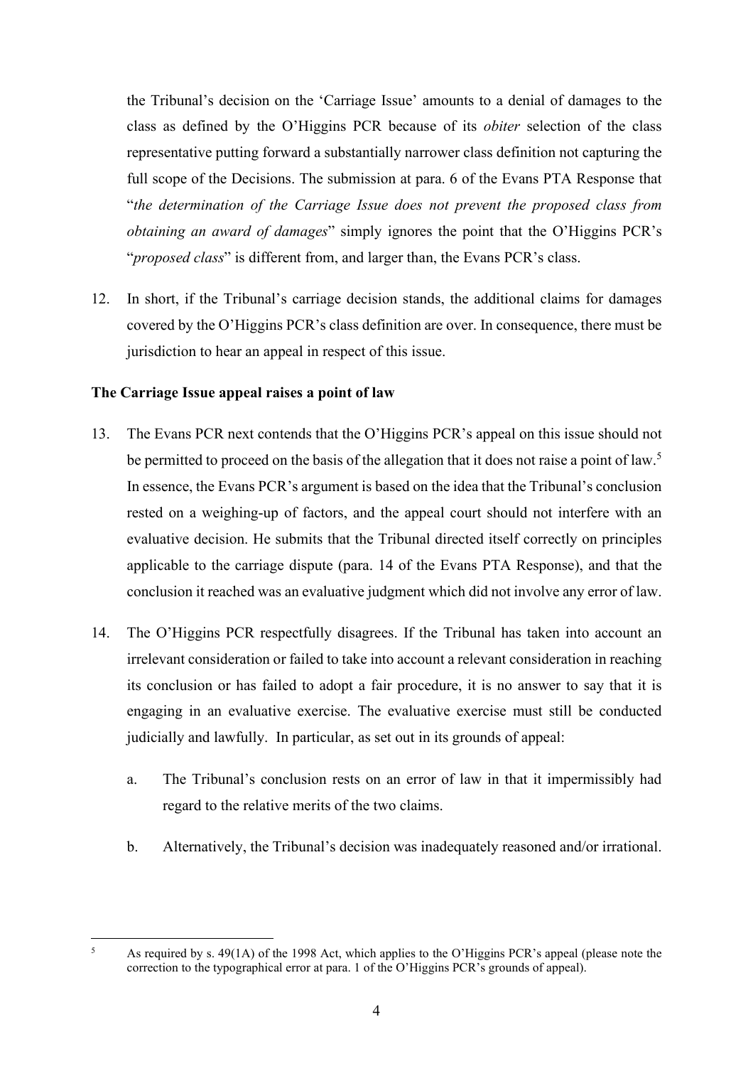the Tribunal's decision on the 'Carriage Issue' amounts to a denial of damages to the class as defined by the O'Higgins PCR because of its *obiter* selection of the class representative putting forward a substantially narrower class definition not capturing the full scope of the Decisions. The submission at para. 6 of the Evans PTA Response that "*the determination of the Carriage Issue does not prevent the proposed class from obtaining an award of damages*" simply ignores the point that the O'Higgins PCR's "*proposed class*" is different from, and larger than, the Evans PCR's class.

12. In short, if the Tribunal's carriage decision stands, the additional claims for damages covered by the O'Higgins PCR's class definition are over. In consequence, there must be jurisdiction to hear an appeal in respect of this issue.

## **The Carriage Issue appeal raises a point of law**

- 13. The Evans PCR next contends that the O'Higgins PCR's appeal on this issue should not be permitted to proceed on the basis of the allegation that it does not raise a point of law.<sup>5</sup> In essence, the Evans PCR's argument is based on the idea that the Tribunal's conclusion rested on a weighing-up of factors, and the appeal court should not interfere with an evaluative decision. He submits that the Tribunal directed itself correctly on principles applicable to the carriage dispute (para. 14 of the Evans PTA Response), and that the conclusion it reached was an evaluative judgment which did not involve any error of law.
- 14. The O'Higgins PCR respectfully disagrees. If the Tribunal has taken into account an irrelevant consideration or failed to take into account a relevant consideration in reaching its conclusion or has failed to adopt a fair procedure, it is no answer to say that it is engaging in an evaluative exercise. The evaluative exercise must still be conducted judicially and lawfully. In particular, as set out in its grounds of appeal:
	- a. The Tribunal's conclusion rests on an error of law in that it impermissibly had regard to the relative merits of the two claims.
	- b. Alternatively, the Tribunal's decision was inadequately reasoned and/or irrational.

<sup>5</sup> As required by s. 49(1A) of the 1998 Act, which applies to the O'Higgins PCR's appeal (please note the correction to the typographical error at para. 1 of the O'Higgins PCR's grounds of appeal).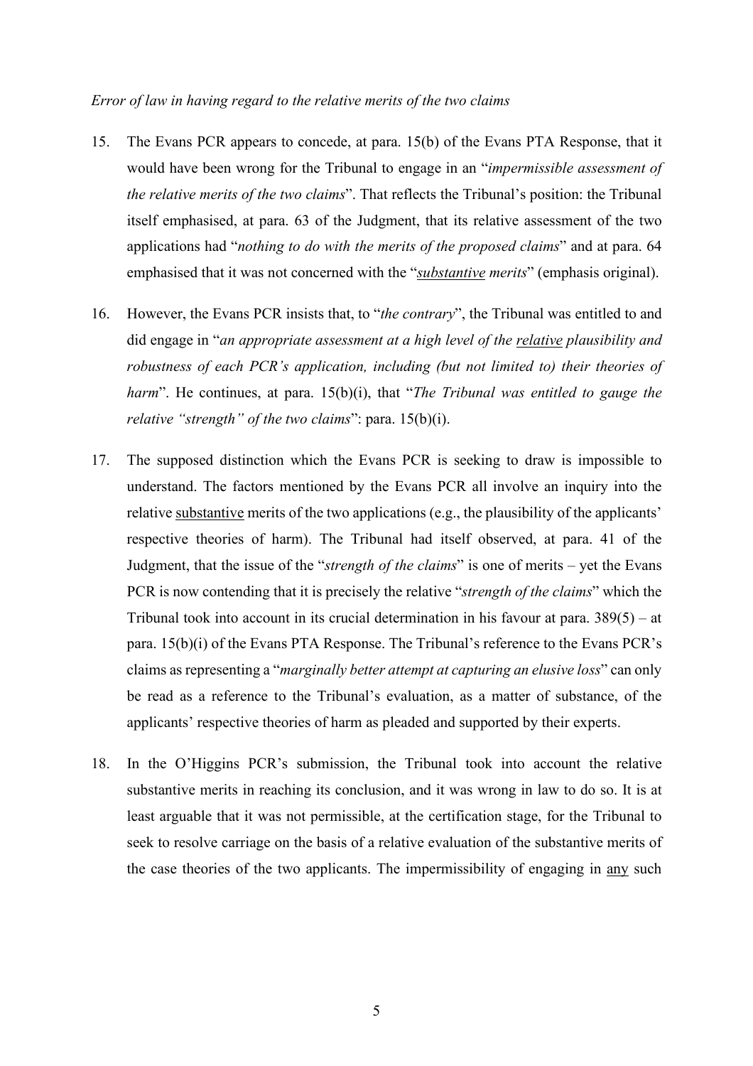## *Error of law in having regard to the relative merits of the two claims*

- 15. The Evans PCR appears to concede, at para. 15(b) of the Evans PTA Response, that it would have been wrong for the Tribunal to engage in an "*impermissible assessment of the relative merits of the two claims*". That reflects the Tribunal's position: the Tribunal itself emphasised, at para. 63 of the Judgment, that its relative assessment of the two applications had "*nothing to do with the merits of the proposed claims*" and at para. 64 emphasised that it was not concerned with the "*substantive merits*" (emphasis original).
- 16. However, the Evans PCR insists that, to "*the contrary*", the Tribunal was entitled to and did engage in "*an appropriate assessment at a high level of the relative plausibility and robustness of each PCR's application, including (but not limited to) their theories of harm*". He continues, at para. 15(b)(i), that "*The Tribunal was entitled to gauge the relative "strength" of the two claims*": para. 15(b)(i).
- 17. The supposed distinction which the Evans PCR is seeking to draw is impossible to understand. The factors mentioned by the Evans PCR all involve an inquiry into the relative substantive merits of the two applications (e.g., the plausibility of the applicants' respective theories of harm). The Tribunal had itself observed, at para. 41 of the Judgment, that the issue of the "*strength of the claims*" is one of merits – yet the Evans PCR is now contending that it is precisely the relative "*strength of the claims*" which the Tribunal took into account in its crucial determination in his favour at para. 389(5) – at para. 15(b)(i) of the Evans PTA Response. The Tribunal's reference to the Evans PCR's claims as representing a "*marginally better attempt at capturing an elusive loss*" can only be read as a reference to the Tribunal's evaluation, as a matter of substance, of the applicants' respective theories of harm as pleaded and supported by their experts.
- 18. In the O'Higgins PCR's submission, the Tribunal took into account the relative substantive merits in reaching its conclusion, and it was wrong in law to do so. It is at least arguable that it was not permissible, at the certification stage, for the Tribunal to seek to resolve carriage on the basis of a relative evaluation of the substantive merits of the case theories of the two applicants. The impermissibility of engaging in any such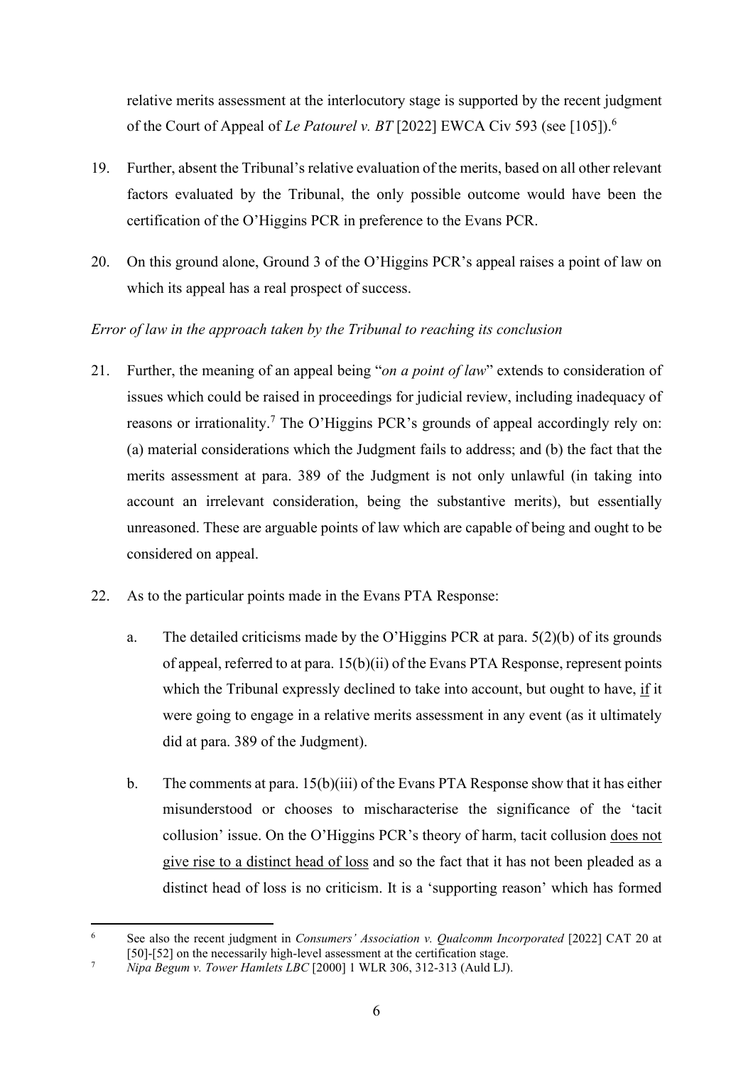relative merits assessment at the interlocutory stage is supported by the recent judgment of the Court of Appeal of *Le Patourel v. BT* [2022] EWCA Civ 593 (see [105]).<sup>6</sup>

- 19. Further, absent the Tribunal's relative evaluation of the merits, based on all other relevant factors evaluated by the Tribunal, the only possible outcome would have been the certification of the O'Higgins PCR in preference to the Evans PCR.
- 20. On this ground alone, Ground 3 of the O'Higgins PCR's appeal raises a point of law on which its appeal has a real prospect of success.

## *Error of law in the approach taken by the Tribunal to reaching its conclusion*

- 21. Further, the meaning of an appeal being "*on a point of law*" extends to consideration of issues which could be raised in proceedings for judicial review, including inadequacy of reasons or irrationality.<sup>7</sup> The O'Higgins PCR's grounds of appeal accordingly rely on: (a) material considerations which the Judgment fails to address; and (b) the fact that the merits assessment at para. 389 of the Judgment is not only unlawful (in taking into account an irrelevant consideration, being the substantive merits), but essentially unreasoned. These are arguable points of law which are capable of being and ought to be considered on appeal.
- 22. As to the particular points made in the Evans PTA Response:
	- a. The detailed criticisms made by the O'Higgins PCR at para. 5(2)(b) of its grounds of appeal, referred to at para. 15(b)(ii) of the Evans PTA Response, represent points which the Tribunal expressly declined to take into account, but ought to have, if it were going to engage in a relative merits assessment in any event (as it ultimately did at para. 389 of the Judgment).
	- b. The comments at para. 15(b)(iii) of the Evans PTA Response show that it has either misunderstood or chooses to mischaracterise the significance of the 'tacit collusion' issue. On the O'Higgins PCR's theory of harm, tacit collusion does not give rise to a distinct head of loss and so the fact that it has not been pleaded as a distinct head of loss is no criticism. It is a 'supporting reason' which has formed

<sup>6</sup> See also the recent judgment in *Consumers' Association v. Qualcomm Incorporated* [2022] CAT 20 at [50]-[52] on the necessarily high-level assessment at the certification stage.<br>  $\frac{7}{2}$  Ning Begun v. Tower Hamlets *I BC* [2000] 1 WI B 306 312 313 (Auld I D

*Nipa Begum v. Tower Hamlets LBC* [2000] 1 WLR 306, 312-313 (Auld LJ).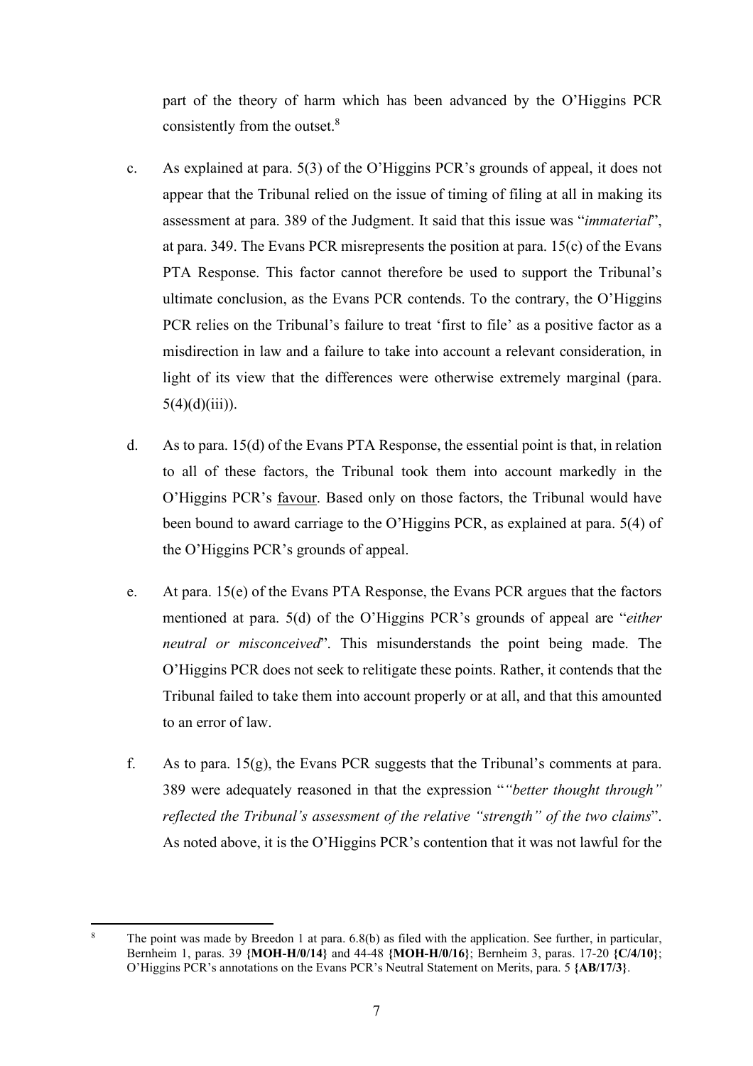part of the theory of harm which has been advanced by the O'Higgins PCR consistently from the outset.<sup>8</sup>

- c. As explained at para. 5(3) of the O'Higgins PCR's grounds of appeal, it does not appear that the Tribunal relied on the issue of timing of filing at all in making its assessment at para. 389 of the Judgment. It said that this issue was "*immaterial*", at para. 349. The Evans PCR misrepresents the position at para. 15(c) of the Evans PTA Response. This factor cannot therefore be used to support the Tribunal's ultimate conclusion, as the Evans PCR contends. To the contrary, the O'Higgins PCR relies on the Tribunal's failure to treat 'first to file' as a positive factor as a misdirection in law and a failure to take into account a relevant consideration, in light of its view that the differences were otherwise extremely marginal (para.  $5(4)(d)(iii)$ ).
- d. As to para. 15(d) of the Evans PTA Response, the essential point is that, in relation to all of these factors, the Tribunal took them into account markedly in the O'Higgins PCR's favour. Based only on those factors, the Tribunal would have been bound to award carriage to the O'Higgins PCR, as explained at para. 5(4) of the O'Higgins PCR's grounds of appeal.
- e. At para. 15(e) of the Evans PTA Response, the Evans PCR argues that the factors mentioned at para. 5(d) of the O'Higgins PCR's grounds of appeal are "*either neutral or misconceived*". This misunderstands the point being made. The O'Higgins PCR does not seek to relitigate these points. Rather, it contends that the Tribunal failed to take them into account properly or at all, and that this amounted to an error of law.
- f. As to para.  $15(g)$ , the Evans PCR suggests that the Tribunal's comments at para. 389 were adequately reasoned in that the expression "*"better thought through" reflected the Tribunal's assessment of the relative "strength" of the two claims*". As noted above, it is the O'Higgins PCR's contention that it was not lawful for the

<sup>8</sup> The point was made by Breedon 1 at para. 6.8(b) as filed with the application. See further, in particular, Bernheim 1, paras. 39 **{MOH-H/0/14}** and 44-48 **{MOH-H/0/16}**; Bernheim 3, paras. 17-20 **{C/4/10}**; O'Higgins PCR's annotations on the Evans PCR's Neutral Statement on Merits, para. 5 **{AB/17/3}**.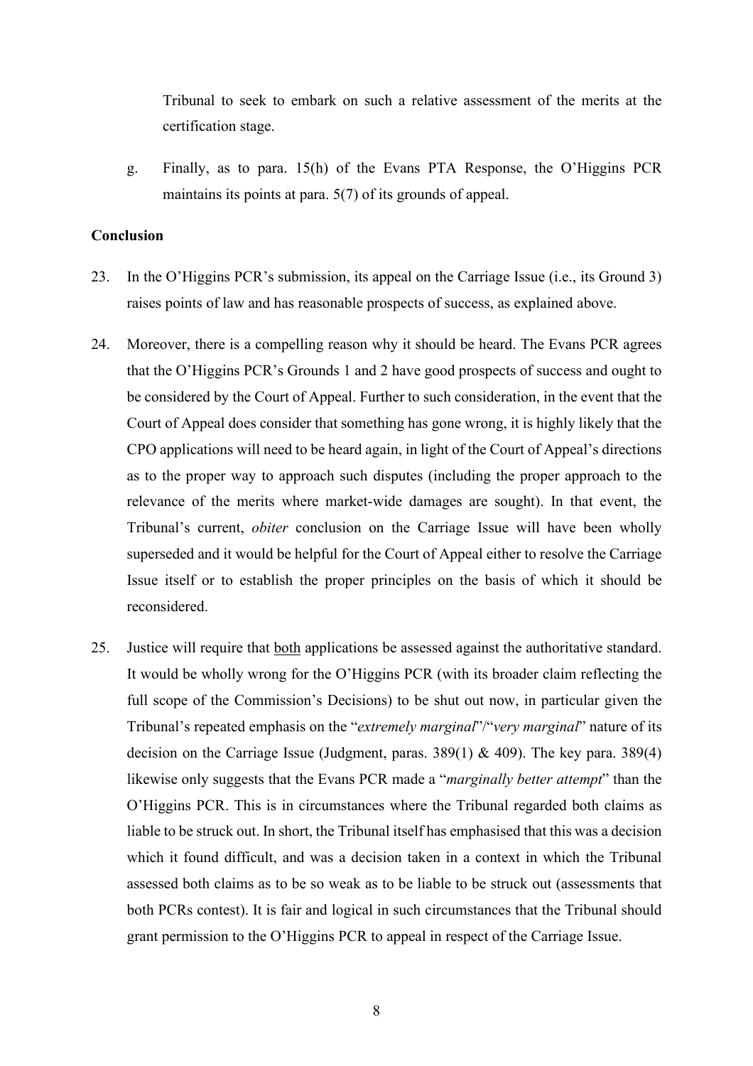Tribunal to seek to embark on such a relative assessment of the merits at the certification stage.

g. Finally, as to para. 15(h) of the Evans PTA Response, the O'Higgins PCR maintains its points at para. 5(7) of its grounds of appeal.

## **Conclusion**

- 23. In the O'Higgins PCR's submission, its appeal on the Carriage Issue (i.e., its Ground 3) raises points of law and has reasonable prospects of success, as explained above.
- 24. Moreover, there is a compelling reason why it should be heard. The Evans PCR agrees that the O'Higgins PCR's Grounds 1 and 2 have good prospects of success and ought to be considered by the Court of Appeal. Further to such consideration, in the event that the Court of Appeal does consider that something has gone wrong, it is highly likely that the CPO applications will need to be heard again, in light of the Court of Appeal's directions as to the proper way to approach such disputes (including the proper approach to the relevance of the merits where market-wide damages are sought). In that event, the Tribunal's current, *obiter* conclusion on the Carriage Issue will have been wholly superseded and it would be helpful for the Court of Appeal either to resolve the Carriage Issue itself or to establish the proper principles on the basis of which it should be reconsidered.
- 25. Justice will require that both applications be assessed against the authoritative standard. It would be wholly wrong for the O'Higgins PCR (with its broader claim reflecting the full scope of the Commission's Decisions) to be shut out now, in particular given the Tribunal's repeated emphasis on the "*extremely marginal*"/"*very marginal*" nature of its decision on the Carriage Issue (Judgment, paras. 389(1) & 409). The key para. 389(4) likewise only suggests that the Evans PCR made a "*marginally better attempt*" than the O'Higgins PCR. This is in circumstances where the Tribunal regarded both claims as liable to be struck out. In short, the Tribunal itself has emphasised that this was a decision which it found difficult, and was a decision taken in a context in which the Tribunal assessed both claims as to be so weak as to be liable to be struck out (assessments that both PCRs contest). It is fair and logical in such circumstances that the Tribunal should grant permission to the O'Higgins PCR to appeal in respect of the Carriage Issue.